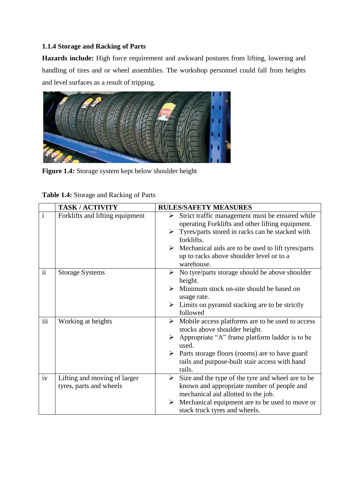## **1.1.4 Storage and Racking of Parts**

**Hazards include:** High force requirement and awkward postures from lifting, lowering and handling of tires and or wheel assemblies. The workshop personnel could fall from heights and level surfaces as a result of tripping.



**Figure 1.4:** Storage system kept below shoulder height

|                          | <b>TASK/ACTIVITY</b>                                    | <b>RULES/SAFETY MEASURES</b>                                                                                                                                                                                                                                                                                                |
|--------------------------|---------------------------------------------------------|-----------------------------------------------------------------------------------------------------------------------------------------------------------------------------------------------------------------------------------------------------------------------------------------------------------------------------|
| $\mathbf{i}$             | Forklifts and lifting equipment                         | Strict traffic management must be ensured while<br>➤<br>operating Forklifts and other lifting equipment.<br>$\triangleright$ Tyres/parts stored in racks can be stacked with<br>forklifts.<br>$\triangleright$ Mechanical aids are to be used to lift tyres/parts<br>up to racks above shoulder level or to a<br>warehouse. |
| $\overline{\mathbf{ii}}$ | <b>Storage Systems</b>                                  | $\triangleright$ No tyre/parts storage should be above shoulder<br>height.<br>$\triangleright$ Minimum stock on-site should be based on<br>usage rate.<br>$\triangleright$ Limits on pyramid stacking are to be strictly<br>followed                                                                                        |
| iii                      | Working at heights                                      | $\triangleright$ Mobile access platforms are to be used to access<br>stocks above shoulder height.<br>$\triangleright$ Appropriate "A" frame platform ladder is to be<br>used.<br>$\triangleright$ Parts storage floors (rooms) are to have guard<br>rails and purpose-built stair access with hand<br>rails.               |
| iv                       | Lifting and moving of larger<br>tyres, parts and wheels | $\triangleright$ Size and the type of the tyre and wheel are to be<br>known and appropriate number of people and<br>mechanical aid allotted to the job.<br>Mechanical equipment are to be used to move or<br>➤<br>stack truck tyres and wheels.                                                                             |

**Table 1.4:** Storage and Racking of Parts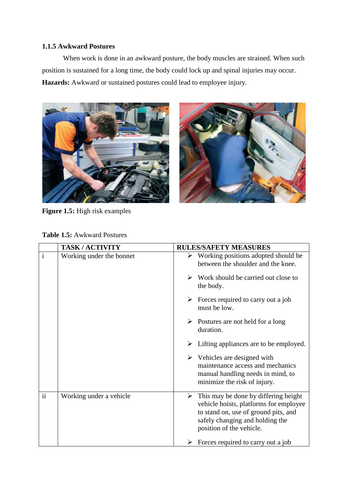### **1.1.5 Awkward Postures**

When work is done in an awkward posture, the body muscles are strained. When such position is sustained for a long time, the body could lock up and spinal injuries may occur. **Hazards:** Awkward or sustained postures could lead to employee injury.





**Figure 1.5:** High risk examples

| <b>Table 1.5: Awkward Postures</b> |  |  |  |
|------------------------------------|--|--|--|
|------------------------------------|--|--|--|

|                     | <b>TASK/ACTIVITY</b>     | <b>RULES/SAFETY MEASURES</b>                                                                                                                                                                           |
|---------------------|--------------------------|--------------------------------------------------------------------------------------------------------------------------------------------------------------------------------------------------------|
| $\mathbf{i}$        | Working under the bonnet | $\triangleright$ Working positions adopted should be<br>between the shoulder and the knee.                                                                                                             |
|                     |                          | $\triangleright$ Work should be carried out close to<br>the body.                                                                                                                                      |
|                     |                          | $\triangleright$ Forces required to carry out a job<br>must be low.                                                                                                                                    |
|                     |                          | $\triangleright$ Postures are not held for a long<br>duration.                                                                                                                                         |
|                     |                          | $\triangleright$ Lifting appliances are to be employed.                                                                                                                                                |
|                     |                          | $\triangleright$ Vehicles are designed with<br>maintenance access and mechanics<br>manual handling needs in mind, to<br>minimize the risk of injury.                                                   |
| $\ddot{\mathbf{i}}$ | Working under a vehicle  | $\triangleright$ This may be done by differing height<br>vehicle hoists, platforms for employee<br>to stand on, use of ground pits, and<br>safely changing and holding the<br>position of the vehicle. |
|                     |                          | $\triangleright$ Forces required to carry out a job                                                                                                                                                    |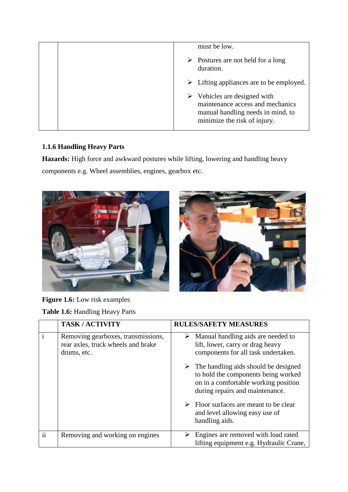| must be low.                                                                                                                                         |
|------------------------------------------------------------------------------------------------------------------------------------------------------|
| $\triangleright$ Postures are not held for a long<br>duration.                                                                                       |
| $\triangleright$ Lifting appliances are to be employed.                                                                                              |
| $\triangleright$ Vehicles are designed with<br>maintenance access and mechanics<br>manual handling needs in mind, to<br>minimize the risk of injury. |

# **1.1.6 Handling Heavy Parts**

**Hazards:** High force and awkward postures while lifting, lowering and handling heavy components e.g. Wheel assemblies, engines, gearbox etc.





| Figure 1.6: Low risk examples |  |  |  |
|-------------------------------|--|--|--|
|                               |  |  |  |

**Table 1.6:** Handling Heavy Parts

|               | <b>TASK/ACTIVITY</b>                                                                    | <b>RULES/SAFETY MEASURES</b>                                                                                                                                            |
|---------------|-----------------------------------------------------------------------------------------|-------------------------------------------------------------------------------------------------------------------------------------------------------------------------|
|               | Removing gearboxes, transmissions,<br>rear axles, truck wheels and brake<br>drums, etc. | $\triangleright$ Manual handling aids are needed to<br>lift, lower, carry or drag heavy<br>components for all task undertaken.                                          |
|               |                                                                                         | $\triangleright$ The handling aids should be designed<br>to hold the components being worked<br>on in a comfortable working position<br>during repairs and maintenance. |
|               |                                                                                         | $\triangleright$ Floor surfaces are meant to be clear<br>and level allowing easy use of<br>handling aids.                                                               |
| $\mathbf{ii}$ | Removing and working on engines                                                         | Engines are removed with load rated<br>lifting equipment e.g. Hydraulic Crane,                                                                                          |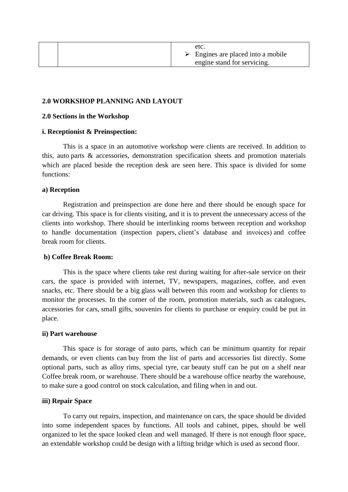### **2.0 WORKSHOP PLANNING AND LAYOUT**

#### **2.0 Sections in the Workshop**

#### **i. Receptionist & Preinspection:**

This is a space in an automotive workshop were clients are received. In addition to this, auto parts & accessories, demonstration specification sheets and promotion materials which are placed beside the reception desk are seen here. This space is divided for some functions:

### **a) Reception**

Registration and preinspection are done here and there should be enough space for car driving. This space is for clients visiting, and it is to prevent the unnecessary access of the clients into workshop. There should be interlinking rooms between reception and workshop to handle documentation (inspection papers, client's database and invoices) and coffee break room for clients.

#### **b) Coffee Break Room:**

This is the space where clients take rest during waiting for after-sale service on their cars, the space is provided with internet, TV, newspapers, magazines, coffee, and even snacks, etc. There should be a big glass wall between this room and workshop for clients to monitor the processes. In the corner of the room, promotion materials, such as catalogues, accessories for cars, small gifts, souvenirs for clients to purchase or enquiry could be put in place.

#### **ii) Part warehouse**

This space is for storage of auto parts, which can be minimum quantity for repair demands, or even clients can buy from the list of parts and accessories list directly. Some optional parts, such as alloy rims, special tyre, car beauty stuff can be put on a shelf near Coffee break room, or warehouse. There should be a warehouse office nearby the warehouse, to make sure a good control on stock calculation, and filing when in and out.

### **iii) Repair Space**

To carry out repairs, inspection, and maintenance on cars, the space should be divided into some independent spaces by functions. All tools and cabinet, pipes, should be well organized to let the space looked clean and well managed. If there is not enough floor space, an extendable workshop could be design with a lifting bridge which is used as second floor.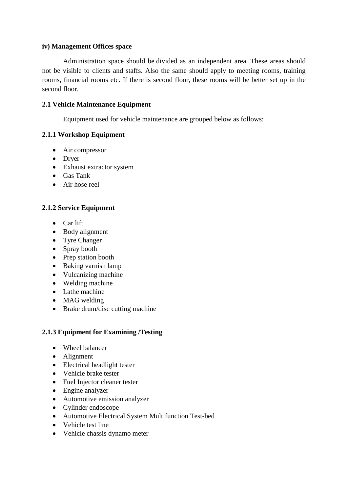### **iv) Management Offices space**

Administration space should be divided as an independent area. These areas should not be visible to clients and staffs. Also the same should apply to meeting rooms, training rooms, financial rooms etc. If there is second floor, these rooms will be better set up in the second floor.

### **2.1 Vehicle Maintenance Equipment**

Equipment used for vehicle maintenance are grouped below as follows:

## **2.1.1 Workshop Equipment**

- Air compressor
- Dryer
- Exhaust extractor system
- Gas Tank
- Air hose reel

## **2.1.2 Service Equipment**

- Car lift
- Body alignment
- Tyre Changer
- Spray booth
- Prep station booth
- Baking varnish lamp
- Vulcanizing machine
- Welding machine
- Lathe machine
- MAG welding
- Brake drum/disc cutting machine

## **2.1.3 Equipment for Examining /Testing**

- Wheel balancer
- Alignment
- Electrical headlight tester
- Vehicle brake tester
- Fuel Injector cleaner tester
- Engine analyzer
- Automotive emission analyzer
- Cylinder endoscope
- Automotive Electrical System Multifunction Test-bed
- Vehicle test line
- Vehicle chassis dynamo meter